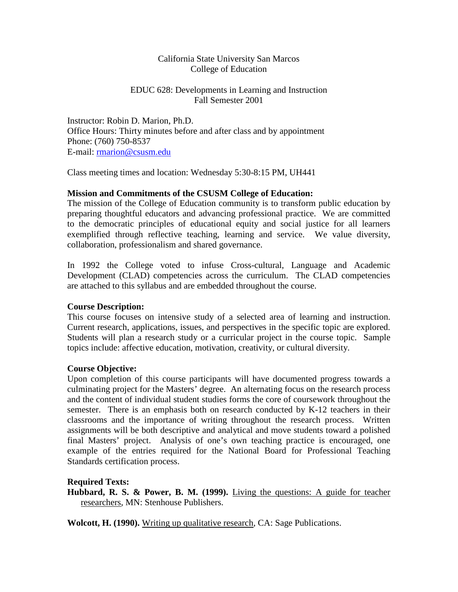## California State University San Marcos College of Education

## EDUC 628: Developments in Learning and Instruction Fall Semester 2001

Instructor: Robin D. Marion, Ph.D. Office Hours: Thirty minutes before and after class and by appointment Phone: (760) 750-8537 E-mail: [rmarion@csusm.edu](mailto:rmarion@csusm.edu)

Class meeting times and location: Wednesday 5:30-8:15 PM, UH441

## **Mission and Commitments of the CSUSM College of Education:**

The mission of the College of Education community is to transform public education by preparing thoughtful educators and advancing professional practice. We are committed to the democratic principles of educational equity and social justice for all learners exemplified through reflective teaching, learning and service. We value diversity, collaboration, professionalism and shared governance.

In 1992 the College voted to infuse Cross-cultural, Language and Academic Development (CLAD) competencies across the curriculum. The CLAD competencies are attached to this syllabus and are embedded throughout the course.

## **Course Description:**

This course focuses on intensive study of a selected area of learning and instruction. Current research, applications, issues, and perspectives in the specific topic are explored. Students will plan a research study or a curricular project in the course topic. Sample topics include: affective education, motivation, creativity, or cultural diversity.

## **Course Objective:**

Upon completion of this course participants will have documented progress towards a culminating project for the Masters' degree. An alternating focus on the research process and the content of individual student studies forms the core of coursework throughout the semester. There is an emphasis both on research conducted by K-12 teachers in their classrooms and the importance of writing throughout the research process. Written assignments will be both descriptive and analytical and move students toward a polished final Masters' project. Analysis of one's own teaching practice is encouraged, one example of the entries required for the National Board for Professional Teaching Standards certification process.

**Required Texts:**

**Hubbard, R. S. & Power, B. M. (1999).** Living the questions: A guide for teacher researchers, MN: Stenhouse Publishers.

**Wolcott, H. (1990).** Writing up qualitative research, CA: Sage Publications.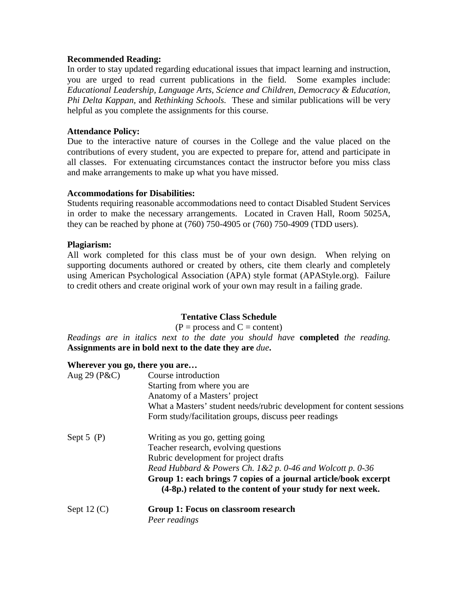### **Recommended Reading:**

In order to stay updated regarding educational issues that impact learning and instruction, you are urged to read current publications in the field. Some examples include: *Educational Leadership, Language Arts, Science and Children, Democracy & Education, Phi Delta Kappan,* and *Rethinking Schools.* These and similar publications will be very helpful as you complete the assignments for this course.

### **Attendance Policy:**

Due to the interactive nature of courses in the College and the value placed on the contributions of every student, you are expected to prepare for, attend and participate in all classes. For extenuating circumstances contact the instructor before you miss class and make arrangements to make up what you have missed.

#### **Accommodations for Disabilities:**

Students requiring reasonable accommodations need to contact Disabled Student Services in order to make the necessary arrangements. Located in Craven Hall, Room 5025A, they can be reached by phone at (760) 750-4905 or (760) 750-4909 (TDD users).

#### **Plagiarism:**

All work completed for this class must be of your own design. When relying on supporting documents authored or created by others, cite them clearly and completely using American Psychological Association (APA) style format (APAStyle.org). Failure to credit others and create original work of your own may result in a failing grade.

## **Tentative Class Schedule**

 $(P = process and C = content)$ 

*Readings are in italics next to the date you should have* **completed** *the reading.*  **Assignments are in bold next to the date they are** *due***.**

#### **Wherever you go, there you are…**

| Aug 29 ( $P&C$ ) | Course introduction                                                                                                            |
|------------------|--------------------------------------------------------------------------------------------------------------------------------|
|                  | Starting from where you are                                                                                                    |
|                  | Anatomy of a Masters' project                                                                                                  |
|                  | What a Masters' student needs/rubric development for content sessions                                                          |
|                  | Form study/facilitation groups, discuss peer readings                                                                          |
| Sept $5(P)$      | Writing as you go, getting going                                                                                               |
|                  | Teacher research, evolving questions                                                                                           |
|                  | Rubric development for project drafts                                                                                          |
|                  | Read Hubbard & Powers Ch. $1 & 2 p$ . 0-46 and Wolcott p. 0-36                                                                 |
|                  | Group 1: each brings 7 copies of a journal article/book excerpt<br>(4-8p.) related to the content of your study for next week. |
| Sept $12(C)$     | Group 1: Focus on classroom research                                                                                           |
|                  | Peer readings                                                                                                                  |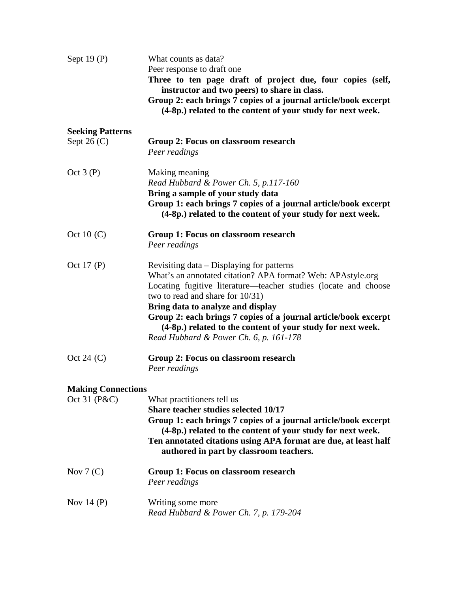| Sept $19(P)$              | What counts as data?                                                                                                           |
|---------------------------|--------------------------------------------------------------------------------------------------------------------------------|
|                           | Peer response to draft one                                                                                                     |
|                           | Three to ten page draft of project due, four copies (self,                                                                     |
|                           | instructor and two peers) to share in class.                                                                                   |
|                           | Group 2: each brings 7 copies of a journal article/book excerpt<br>(4-8p.) related to the content of your study for next week. |
| <b>Seeking Patterns</b>   |                                                                                                                                |
| Sept 26 $(C)$             | Group 2: Focus on classroom research                                                                                           |
|                           | Peer readings                                                                                                                  |
| Oct $3(P)$                | Making meaning                                                                                                                 |
|                           | Read Hubbard & Power Ch. 5, p.117-160                                                                                          |
|                           | Bring a sample of your study data                                                                                              |
|                           | Group 1: each brings 7 copies of a journal article/book excerpt<br>(4-8p.) related to the content of your study for next week. |
| Oct 10 $(C)$              | Group 1: Focus on classroom research                                                                                           |
|                           | Peer readings                                                                                                                  |
| Oct 17 (P)                | Revisiting data – Displaying for patterns                                                                                      |
|                           | What's an annotated citation? APA format? Web: APAstyle.org                                                                    |
|                           | Locating fugitive literature—teacher studies (locate and choose                                                                |
|                           | two to read and share for 10/31)                                                                                               |
|                           | Bring data to analyze and display<br>Group 2: each brings 7 copies of a journal article/book excerpt                           |
|                           | (4-8p.) related to the content of your study for next week.                                                                    |
|                           | Read Hubbard & Power Ch. 6, p. 161-178                                                                                         |
| Oct 24 $(C)$              | Group 2: Focus on classroom research                                                                                           |
|                           | Peer readings                                                                                                                  |
| <b>Making Connections</b> |                                                                                                                                |
| Oct 31 (P&C)              | What practitioners tell us                                                                                                     |
|                           | Share teacher studies selected 10/17                                                                                           |
|                           | Group 1: each brings 7 copies of a journal article/book excerpt<br>(4-8p.) related to the content of your study for next week. |
|                           | Ten annotated citations using APA format are due, at least half<br>authored in part by classroom teachers.                     |
| Nov $7(C)$                | Group 1: Focus on classroom research                                                                                           |
|                           | Peer readings                                                                                                                  |
| Nov 14 $(P)$              | Writing some more                                                                                                              |
|                           | Read Hubbard & Power Ch. 7, p. 179-204                                                                                         |